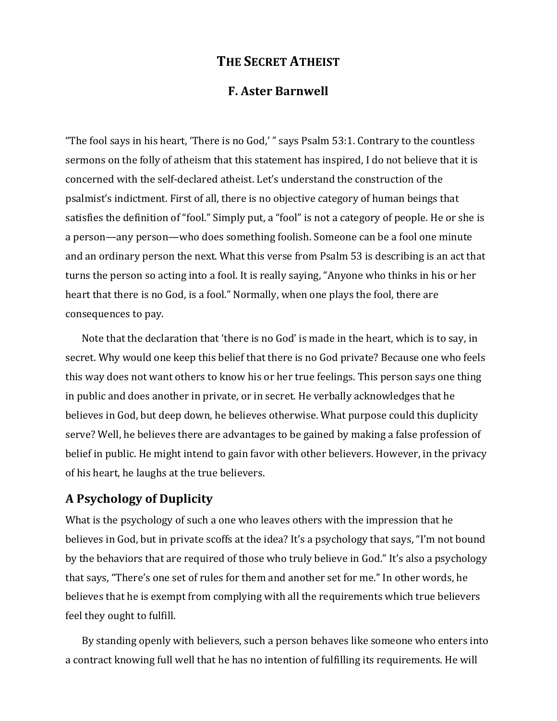## **THE SECRET ATHEIST**

## **F. Aster Barnwell**

"The fool says in his heart, 'There is no God,' " says Psalm 53:1. Contrary to the countless sermons on the folly of atheism that this statement has inspired, I do not believe that it is concerned with the self-declared atheist. Let's understand the construction of the psalmist's indictment. First of all, there is no objective category of human beings that satisfies the definition of "fool." Simply put, a "fool" is not a category of people. He or she is a person—any person—who does something foolish. Someone can be a fool one minute and an ordinary person the next. What this verse from Psalm 53 is describing is an act that turns the person so acting into a fool. It is really saying, "Anyone who thinks in his or her heart that there is no God, is a fool." Normally, when one plays the fool, there are consequences to pay.

Note that the declaration that 'there is no God' is made in the heart, which is to say, in secret. Why would one keep this belief that there is no God private? Because one who feels this way does not want others to know his or her true feelings. This person says one thing in public and does another in private, or in secret. He verbally acknowledges that he believes in God, but deep down, he believes otherwise. What purpose could this duplicity serve? Well, he believes there are advantages to be gained by making a false profession of belief in public. He might intend to gain favor with other believers. However, in the privacy of his heart, he laughs at the true believers.

## **A Psychology\$of\$Duplicity**

What is the psychology of such a one who leaves others with the impression that he believes in God, but in private scoffs at the idea? It's a psychology that says, "I'm not bound by the behaviors that are required of those who truly believe in God." It's also a psychology that says, "There's one set of rules for them and another set for me." In other words, he believes that he is exempt from complying with all the requirements which true believers feel they ought to fulfill.

By standing openly with believers, such a person behaves like someone who enters into a contract knowing full well that he has no intention of fulfilling its requirements. He will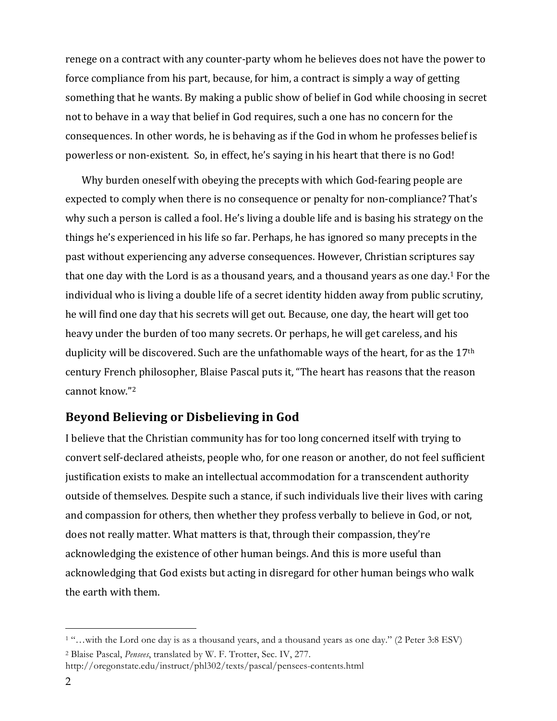renege on a contract with any counter-party whom he believes does not have the power to force compliance from his part, because, for him, a contract is simply a way of getting something that he wants. By making a public show of belief in God while choosing in secret not to behave in a way that belief in God requires, such a one has no concern for the consequences. In other words, he is behaving as if the God in whom he professes belief is powerless or non-existent. So, in effect, he's saying in his heart that there is no God!

Why burden oneself with obeying the precepts with which God-fearing people are expected to comply when there is no consequence or penalty for non-compliance? That's why such a person is called a fool. He's living a double life and is basing his strategy on the things he's experienced in his life so far. Perhaps, he has ignored so many precepts in the past without experiencing any adverse consequences. However, Christian scriptures say that one day with the Lord is as a thousand years, and a thousand years as one day.<sup>1</sup> For the individual who is living a double life of a secret identity hidden away from public scrutiny, he will find one day that his secrets will get out. Because, one day, the heart will get too heavy under the burden of too many secrets. Or perhaps, he will get careless, and his duplicity will be discovered. Such are the unfathomable ways of the heart, for as the  $17<sup>th</sup>$ century French philosopher, Blaise Pascal puts it, "The heart has reasons that the reason cannot know."<sup>2</sup>

## **Beyond Believing or Disbelieving in God**

I believe that the Christian community has for too long concerned itself with trying to convert self-declared atheists, people who, for one reason or another, do not feel sufficient justification exists to make an intellectual accommodation for a transcendent authority outside of themselves. Despite such a stance, if such individuals live their lives with caring and compassion for others, then whether they profess verbally to believe in God, or not, does not really matter. What matters is that, through their compassion, they're acknowledging the existence of other human beings. And this is more useful than acknowledging that God exists but acting in disregard for other human beings who walk the earth with them.

 $\overline{a}$ 

<sup>1</sup> "…with the Lord one day is as a thousand years, and a thousand years as one day." (2 Peter 3:8 ESV)

<sup>2</sup> Blaise Pascal, *Pensees*, translated by W. F. Trotter, Sec. IV, 277.

http://oregonstate.edu/instruct/phl302/texts/pascal/pensees-contents.html